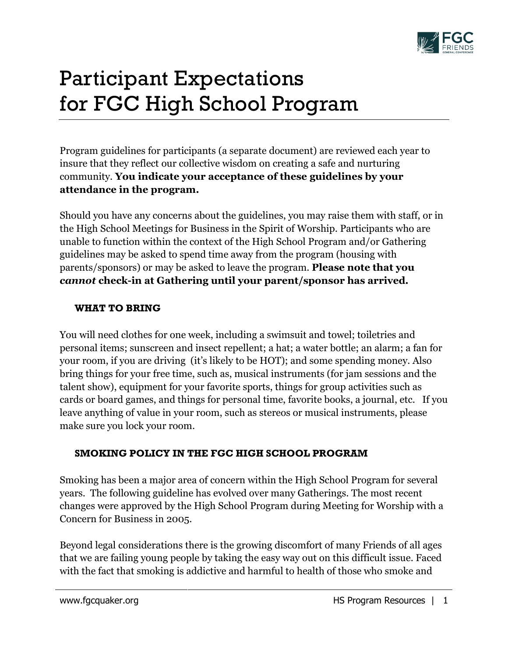

## Participant Expectations for FGC High School Program

Program guidelines for participants (a separate document) are reviewed each year to insure that they reflect our collective wisdom on creating a safe and nurturing community. **You indicate your acceptance of these guidelines by your attendance in the program.**

Should you have any concerns about the guidelines, you may raise them with staff, or in the High School Meetings for Business in the Spirit of Worship. Participants who are unable to function within the context of the High School Program and/or Gathering guidelines may be asked to spend time away from the program (housing with parents/sponsors) or may be asked to leave the program. **Please note that you**  *cannot* **check-in at Gathering until your parent/sponsor has arrived.**

## **WHAT TO BRING**

You will need clothes for one week, including a swimsuit and towel; toiletries and personal items; sunscreen and insect repellent; a hat; a water bottle; an alarm; a fan for your room, if you are driving (it's likely to be HOT); and some spending money. Also bring things for your free time, such as, musical instruments (for jam sessions and the talent show), equipment for your favorite sports, things for group activities such as cards or board games, and things for personal time, favorite books, a journal, etc. If you leave anything of value in your room, such as stereos or musical instruments, please make sure you lock your room.

## **SMOKING POLICY IN THE FGC HIGH SCHOOL PROGRAM**

Smoking has been a major area of concern within the High School Program for several years. The following guideline has evolved over many Gatherings. The most recent changes were approved by the High School Program during Meeting for Worship with a Concern for Business in 2005.

Beyond legal considerations there is the growing discomfort of many Friends of all ages that we are failing young people by taking the easy way out on this difficult issue. Faced with the fact that smoking is addictive and harmful to health of those who smoke and